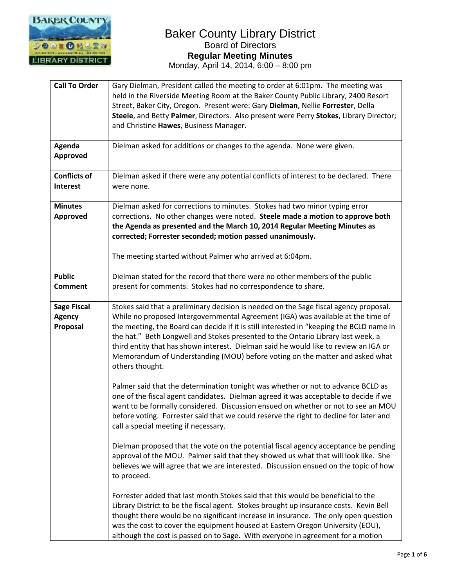

| <b>Call To Order</b><br>Agenda<br><b>Approved</b><br><b>Conflicts of</b> | Gary Dielman, President called the meeting to order at 6:01pm. The meeting was<br>held in the Riverside Meeting Room at the Baker County Public Library, 2400 Resort<br>Street, Baker City, Oregon. Present were: Gary Dielman, Nellie Forrester, Della<br>Steele, and Betty Palmer, Directors. Also present were Perry Stokes, Library Director;<br>and Christine Hawes, Business Manager.<br>Dielman asked for additions or changes to the agenda. None were given.<br>Dielman asked if there were any potential conflicts of interest to be declared. There |
|--------------------------------------------------------------------------|----------------------------------------------------------------------------------------------------------------------------------------------------------------------------------------------------------------------------------------------------------------------------------------------------------------------------------------------------------------------------------------------------------------------------------------------------------------------------------------------------------------------------------------------------------------|
| <b>Interest</b>                                                          | were none.                                                                                                                                                                                                                                                                                                                                                                                                                                                                                                                                                     |
| <b>Minutes</b><br>Approved                                               | Dielman asked for corrections to minutes. Stokes had two minor typing error<br>corrections. No other changes were noted. Steele made a motion to approve both<br>the Agenda as presented and the March 10, 2014 Regular Meeting Minutes as<br>corrected; Forrester seconded; motion passed unanimously.<br>The meeting started without Palmer who arrived at 6:04pm.                                                                                                                                                                                           |
| <b>Public</b><br><b>Comment</b>                                          | Dielman stated for the record that there were no other members of the public<br>present for comments. Stokes had no correspondence to share.                                                                                                                                                                                                                                                                                                                                                                                                                   |
| <b>Sage Fiscal</b><br><b>Agency</b><br>Proposal                          | Stokes said that a preliminary decision is needed on the Sage fiscal agency proposal.<br>While no proposed Intergovernmental Agreement (IGA) was available at the time of<br>the meeting, the Board can decide if it is still interested in "keeping the BCLD name in<br>the hat." Beth Longwell and Stokes presented to the Ontario Library last week, a<br>third entity that has shown interest. Dielman said he would like to review an IGA or<br>Memorandum of Understanding (MOU) before voting on the matter and asked what<br>others thought.           |
|                                                                          | Palmer said that the determination tonight was whether or not to advance BCLD as<br>one of the fiscal agent candidates. Dielman agreed it was acceptable to decide if we<br>want to be formally considered. Discussion ensued on whether or not to see an MOU<br>before voting. Forrester said that we could reserve the right to decline for later and<br>call a special meeting if necessary.                                                                                                                                                                |
|                                                                          | Dielman proposed that the vote on the potential fiscal agency acceptance be pending<br>approval of the MOU. Palmer said that they showed us what that will look like. She<br>believes we will agree that we are interested. Discussion ensued on the topic of how<br>to proceed.                                                                                                                                                                                                                                                                               |
|                                                                          | Forrester added that last month Stokes said that this would be beneficial to the<br>Library District to be the fiscal agent. Stokes brought up insurance costs. Kevin Bell<br>thought there would be no significant increase in insurance. The only open question<br>was the cost to cover the equipment housed at Eastern Oregon University (EOU),<br>although the cost is passed on to Sage. With everyone in agreement for a motion                                                                                                                         |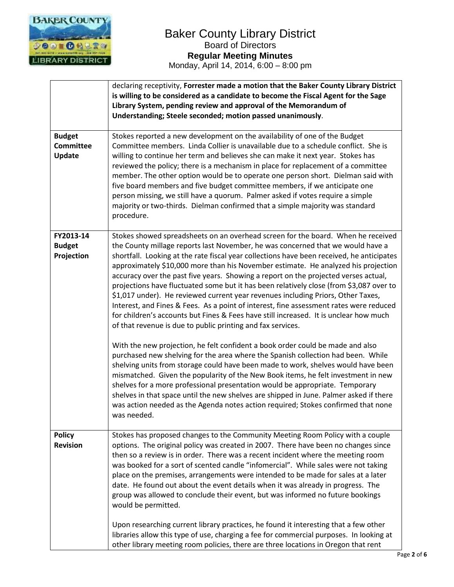

|                                                    | declaring receptivity, Forrester made a motion that the Baker County Library District<br>is willing to be considered as a candidate to become the Fiscal Agent for the Sage<br>Library System, pending review and approval of the Memorandum of<br>Understanding; Steele seconded; motion passed unanimously.                                                                                                                                                                                                                                                                                                                                                                                                                                                                                                                                                                  |
|----------------------------------------------------|--------------------------------------------------------------------------------------------------------------------------------------------------------------------------------------------------------------------------------------------------------------------------------------------------------------------------------------------------------------------------------------------------------------------------------------------------------------------------------------------------------------------------------------------------------------------------------------------------------------------------------------------------------------------------------------------------------------------------------------------------------------------------------------------------------------------------------------------------------------------------------|
| <b>Budget</b><br><b>Committee</b><br><b>Update</b> | Stokes reported a new development on the availability of one of the Budget<br>Committee members. Linda Collier is unavailable due to a schedule conflict. She is<br>willing to continue her term and believes she can make it next year. Stokes has<br>reviewed the policy; there is a mechanism in place for replacement of a committee<br>member. The other option would be to operate one person short. Dielman said with<br>five board members and five budget committee members, if we anticipate one<br>person missing, we still have a quorum. Palmer asked if votes require a simple<br>majority or two-thirds. Dielman confirmed that a simple majority was standard<br>procedure.                                                                                                                                                                                    |
| FY2013-14<br><b>Budget</b><br>Projection           | Stokes showed spreadsheets on an overhead screen for the board. When he received<br>the County millage reports last November, he was concerned that we would have a<br>shortfall. Looking at the rate fiscal year collections have been received, he anticipates<br>approximately \$10,000 more than his November estimate. He analyzed his projection<br>accuracy over the past five years. Showing a report on the projected verses actual,<br>projections have fluctuated some but it has been relatively close (from \$3,087 over to<br>\$1,017 under). He reviewed current year revenues including Priors, Other Taxes,<br>Interest, and Fines & Fees. As a point of interest, fine assessment rates were reduced<br>for children's accounts but Fines & Fees have still increased. It is unclear how much<br>of that revenue is due to public printing and fax services. |
|                                                    | With the new projection, he felt confident a book order could be made and also<br>purchased new shelving for the area where the Spanish collection had been. While<br>shelving units from storage could have been made to work, shelves would have been<br>mismatched. Given the popularity of the New Book items, he felt investment in new<br>shelves for a more professional presentation would be appropriate. Temporary<br>shelves in that space until the new shelves are shipped in June. Palmer asked if there<br>was action needed as the Agenda notes action required; Stokes confirmed that none<br>was needed.                                                                                                                                                                                                                                                     |
| <b>Policy</b><br><b>Revision</b>                   | Stokes has proposed changes to the Community Meeting Room Policy with a couple<br>options. The original policy was created in 2007. There have been no changes since<br>then so a review is in order. There was a recent incident where the meeting room<br>was booked for a sort of scented candle "infomercial". While sales were not taking<br>place on the premises, arrangements were intended to be made for sales at a later<br>date. He found out about the event details when it was already in progress. The<br>group was allowed to conclude their event, but was informed no future bookings<br>would be permitted.                                                                                                                                                                                                                                                |
|                                                    | Upon researching current library practices, he found it interesting that a few other<br>libraries allow this type of use, charging a fee for commercial purposes. In looking at<br>other library meeting room policies, there are three locations in Oregon that rent                                                                                                                                                                                                                                                                                                                                                                                                                                                                                                                                                                                                          |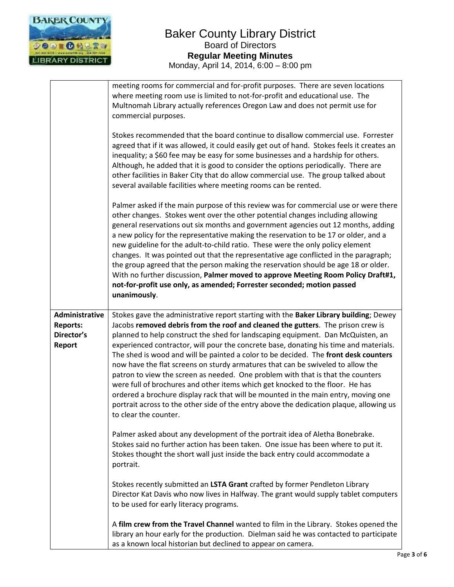

|                                                                  | meeting rooms for commercial and for-profit purposes. There are seven locations<br>where meeting room use is limited to not-for-profit and educational use. The<br>Multnomah Library actually references Oregon Law and does not permit use for<br>commercial purposes.<br>Stokes recommended that the board continue to disallow commercial use. Forrester<br>agreed that if it was allowed, it could easily get out of hand. Stokes feels it creates an<br>inequality; a \$60 fee may be easy for some businesses and a hardship for others.<br>Although, he added that it is good to consider the options periodically. There are<br>other facilities in Baker City that do allow commercial use. The group talked about<br>several available facilities where meeting rooms can be rented.<br>Palmer asked if the main purpose of this review was for commercial use or were there<br>other changes. Stokes went over the other potential changes including allowing<br>general reservations out six months and government agencies out 12 months, adding<br>a new policy for the representative making the reservation to be 17 or older, and a<br>new guideline for the adult-to-child ratio. These were the only policy element<br>changes. It was pointed out that the representative age conflicted in the paragraph;<br>the group agreed that the person making the reservation should be age 18 or older.<br>With no further discussion, Palmer moved to approve Meeting Room Policy Draft#1,<br>not-for-profit use only, as amended; Forrester seconded; motion passed<br>unanimously. |
|------------------------------------------------------------------|----------------------------------------------------------------------------------------------------------------------------------------------------------------------------------------------------------------------------------------------------------------------------------------------------------------------------------------------------------------------------------------------------------------------------------------------------------------------------------------------------------------------------------------------------------------------------------------------------------------------------------------------------------------------------------------------------------------------------------------------------------------------------------------------------------------------------------------------------------------------------------------------------------------------------------------------------------------------------------------------------------------------------------------------------------------------------------------------------------------------------------------------------------------------------------------------------------------------------------------------------------------------------------------------------------------------------------------------------------------------------------------------------------------------------------------------------------------------------------------------------------------------------------------------------------------------------------------------------|
| Administrative<br><b>Reports:</b><br>Director's<br><b>Report</b> | Stokes gave the administrative report starting with the Baker Library building; Dewey<br>Jacobs removed debris from the roof and cleaned the gutters. The prison crew is<br>planned to help construct the shed for landscaping equipment. Dan McQuisten, an<br>experienced contractor, will pour the concrete base, donating his time and materials.<br>The shed is wood and will be painted a color to be decided. The front desk counters<br>now have the flat screens on sturdy armatures that can be swiveled to allow the<br>patron to view the screen as needed. One problem with that is that the counters<br>were full of brochures and other items which get knocked to the floor. He has<br>ordered a brochure display rack that will be mounted in the main entry, moving one<br>portrait across to the other side of the entry above the dedication plaque, allowing us<br>to clear the counter.                                                                                                                                                                                                                                                                                                                                                                                                                                                                                                                                                                                                                                                                                       |
|                                                                  | Palmer asked about any development of the portrait idea of Aletha Bonebrake.<br>Stokes said no further action has been taken. One issue has been where to put it.<br>Stokes thought the short wall just inside the back entry could accommodate a<br>portrait.                                                                                                                                                                                                                                                                                                                                                                                                                                                                                                                                                                                                                                                                                                                                                                                                                                                                                                                                                                                                                                                                                                                                                                                                                                                                                                                                     |
|                                                                  | Stokes recently submitted an LSTA Grant crafted by former Pendleton Library<br>Director Kat Davis who now lives in Halfway. The grant would supply tablet computers<br>to be used for early literacy programs.                                                                                                                                                                                                                                                                                                                                                                                                                                                                                                                                                                                                                                                                                                                                                                                                                                                                                                                                                                                                                                                                                                                                                                                                                                                                                                                                                                                     |
|                                                                  | A film crew from the Travel Channel wanted to film in the Library. Stokes opened the<br>library an hour early for the production. Dielman said he was contacted to participate<br>as a known local historian but declined to appear on camera.                                                                                                                                                                                                                                                                                                                                                                                                                                                                                                                                                                                                                                                                                                                                                                                                                                                                                                                                                                                                                                                                                                                                                                                                                                                                                                                                                     |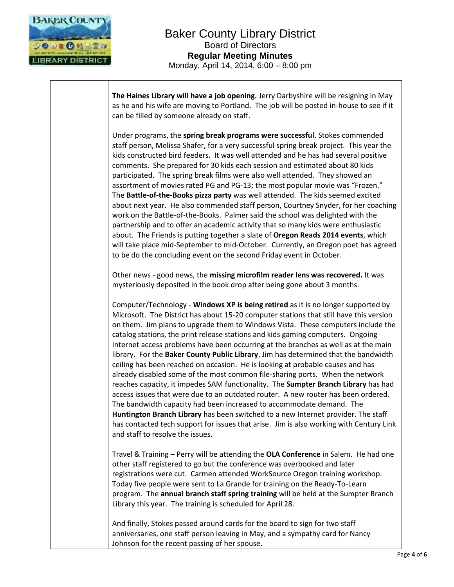

**The Haines Library will have a job opening.** Jerry Darbyshire will be resigning in May as he and his wife are moving to Portland. The job will be posted in-house to see if it can be filled by someone already on staff.

Under programs, the **spring break programs were successful**. Stokes commended staff person, Melissa Shafer, for a very successful spring break project. This year the kids constructed bird feeders. It was well attended and he has had several positive comments. She prepared for 30 kids each session and estimated about 80 kids participated. The spring break films were also well attended. They showed an assortment of movies rated PG and PG-13; the most popular movie was "Frozen." The **Battle-of-the-Books pizza party** was well attended. The kids seemed excited about next year. He also commended staff person, Courtney Snyder, for her coaching work on the Battle-of-the-Books. Palmer said the school was delighted with the partnership and to offer an academic activity that so many kids were enthusiastic about. The Friends is putting together a slate of **Oregon Reads 2014 events**, which will take place mid-September to mid-October. Currently, an Oregon poet has agreed to be do the concluding event on the second Friday event in October.

Other news - good news, the **missing microfilm reader lens was recovered.** It was mysteriously deposited in the book drop after being gone about 3 months.

Computer/Technology - **Windows XP is being retired** as it is no longer supported by Microsoft. The District has about 15-20 computer stations that still have this version on them. Jim plans to upgrade them to Windows Vista. These computers include the catalog stations, the print release stations and kids gaming computers. Ongoing Internet access problems have been occurring at the branches as well as at the main library. For the **Baker County Public Library**, Jim has determined that the bandwidth ceiling has been reached on occasion. He is looking at probable causes and has already disabled some of the most common file-sharing ports. When the network reaches capacity, it impedes SAM functionality. The **Sumpter Branch Library** has had access issues that were due to an outdated router. A new router has been ordered. The bandwidth capacity had been increased to accommodate demand. The **Huntington Branch Library** has been switched to a new Internet provider. The staff has contacted tech support for issues that arise. Jim is also working with Century Link and staff to resolve the issues.

Travel & Training – Perry will be attending the **OLA Conference** in Salem. He had one other staff registered to go but the conference was overbooked and later registrations were cut. Carmen attended WorkSource Oregon training workshop. Today five people were sent to La Grande for training on the Ready-To-Learn program. The **annual branch staff spring training** will be held at the Sumpter Branch Library this year. The training is scheduled for April 28.

And finally, Stokes passed around cards for the board to sign for two staff anniversaries, one staff person leaving in May, and a sympathy card for Nancy Johnson for the recent passing of her spouse.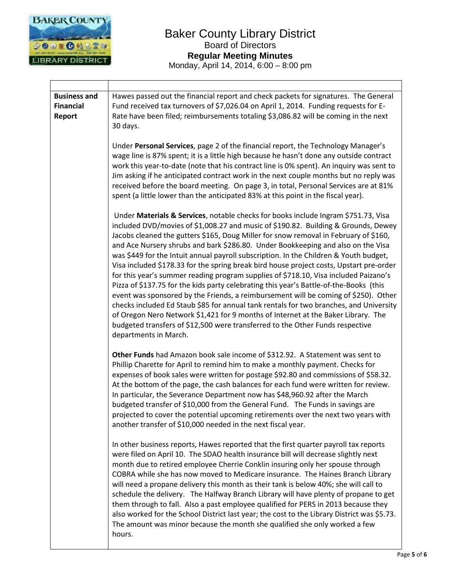

| <b>Business and</b> | Hawes passed out the financial report and check packets for signatures. The General                                                                                                                                                                                                                                                                                                                                                                                                                                                                                                                                                                                                                                                                                                                                                                                                                                                                                                                                                                                                                        |
|---------------------|------------------------------------------------------------------------------------------------------------------------------------------------------------------------------------------------------------------------------------------------------------------------------------------------------------------------------------------------------------------------------------------------------------------------------------------------------------------------------------------------------------------------------------------------------------------------------------------------------------------------------------------------------------------------------------------------------------------------------------------------------------------------------------------------------------------------------------------------------------------------------------------------------------------------------------------------------------------------------------------------------------------------------------------------------------------------------------------------------------|
| <b>Financial</b>    | Fund received tax turnovers of \$7,026.04 on April 1, 2014. Funding requests for E-                                                                                                                                                                                                                                                                                                                                                                                                                                                                                                                                                                                                                                                                                                                                                                                                                                                                                                                                                                                                                        |
| <b>Report</b>       | Rate have been filed; reimbursements totaling \$3,086.82 will be coming in the next                                                                                                                                                                                                                                                                                                                                                                                                                                                                                                                                                                                                                                                                                                                                                                                                                                                                                                                                                                                                                        |
|                     | 30 days.                                                                                                                                                                                                                                                                                                                                                                                                                                                                                                                                                                                                                                                                                                                                                                                                                                                                                                                                                                                                                                                                                                   |
|                     | Under Personal Services, page 2 of the financial report, the Technology Manager's<br>wage line is 87% spent; it is a little high because he hasn't done any outside contract<br>work this year-to-date (note that his contract line is 0% spent). An inquiry was sent to<br>Jim asking if he anticipated contract work in the next couple months but no reply was<br>received before the board meeting. On page 3, in total, Personal Services are at 81%<br>spent (a little lower than the anticipated 83% at this point in the fiscal year).                                                                                                                                                                                                                                                                                                                                                                                                                                                                                                                                                             |
|                     | Under Materials & Services, notable checks for books include Ingram \$751.73, Visa<br>included DVD/movies of \$1,008.27 and music of \$190.82. Building & Grounds, Dewey<br>Jacobs cleaned the gutters \$165, Doug Miller for snow removal in February of \$160,<br>and Ace Nursery shrubs and bark \$286.80. Under Bookkeeping and also on the Visa<br>was \$449 for the Intuit annual payroll subscription. In the Children & Youth budget,<br>Visa included \$178.33 for the spring break bird house project costs, Upstart pre-order<br>for this year's summer reading program supplies of \$718.10, Visa included Paizano's<br>Pizza of \$137.75 for the kids party celebrating this year's Battle-of-the-Books (this<br>event was sponsored by the Friends, a reimbursement will be coming of \$250). Other<br>checks included Ed Staub \$85 for annual tank rentals for two branches, and University<br>of Oregon Nero Network \$1,421 for 9 months of Internet at the Baker Library. The<br>budgeted transfers of \$12,500 were transferred to the Other Funds respective<br>departments in March. |
|                     | Other Funds had Amazon book sale income of \$312.92. A Statement was sent to<br>Phillip Charette for April to remind him to make a monthly payment. Checks for<br>expenses of book sales were written for postage \$92.80 and commissions of \$58.32.<br>At the bottom of the page, the cash balances for each fund were written for review.<br>In particular, the Severance Department now has \$48,960.92 after the March<br>budgeted transfer of \$10,000 from the General Fund. The Funds in savings are<br>projected to cover the potential upcoming retirements over the next two years with<br>another transfer of \$10,000 needed in the next fiscal year.                                                                                                                                                                                                                                                                                                                                                                                                                                         |
|                     | In other business reports, Hawes reported that the first quarter payroll tax reports<br>were filed on April 10. The SDAO health insurance bill will decrease slightly next<br>month due to retired employee Cherrie Conklin insuring only her spouse through<br>COBRA while she has now moved to Medicare insurance. The Haines Branch Library<br>will need a propane delivery this month as their tank is below 40%; she will call to<br>schedule the delivery. The Halfway Branch Library will have plenty of propane to get<br>them through to fall. Also a past employee qualified for PERS in 2013 because they<br>also worked for the School District last year; the cost to the Library District was \$5.73.<br>The amount was minor because the month she qualified she only worked a few<br>hours.                                                                                                                                                                                                                                                                                                |